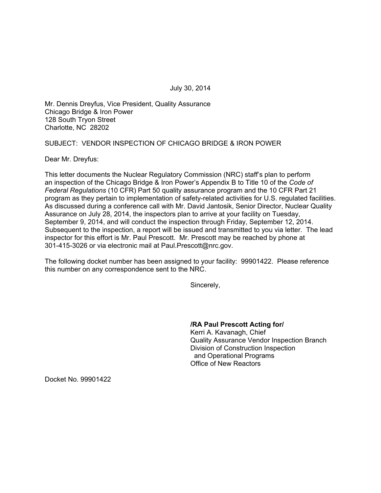July 30, 2014

Mr. Dennis Dreyfus, Vice President, Quality Assurance Chicago Bridge & Iron Power 128 South Tryon Street Charlotte, NC 28202

### SUBJECT: VENDOR INSPECTION OF CHICAGO BRIDGE & IRON POWER

Dear Mr. Dreyfus:

This letter documents the Nuclear Regulatory Commission (NRC) staff's plan to perform an inspection of the Chicago Bridge & Iron Power's Appendix B to Title 10 of the *Code of Federal Regulations* (10 CFR) Part 50 quality assurance program and the 10 CFR Part 21 program as they pertain to implementation of safety-related activities for U.S. regulated facilities. As discussed during a conference call with Mr. David Jantosik, Senior Director, Nuclear Quality Assurance on July 28, 2014, the inspectors plan to arrive at your facility on Tuesday, September 9, 2014, and will conduct the inspection through Friday, September 12, 2014. Subsequent to the inspection, a report will be issued and transmitted to you via letter. The lead inspector for this effort is Mr. Paul Prescott. Mr. Prescott may be reached by phone at 301-415-3026 or via electronic mail at Paul.Prescott@nrc.gov.

The following docket number has been assigned to your facility: 99901422. Please reference this number on any correspondence sent to the NRC.

Sincerely,

**/RA Paul Prescott Acting for/** 

Kerri A. Kavanagh, Chief Quality Assurance Vendor Inspection Branch Division of Construction Inspection and Operational Programs Office of New Reactors

Docket No. 99901422